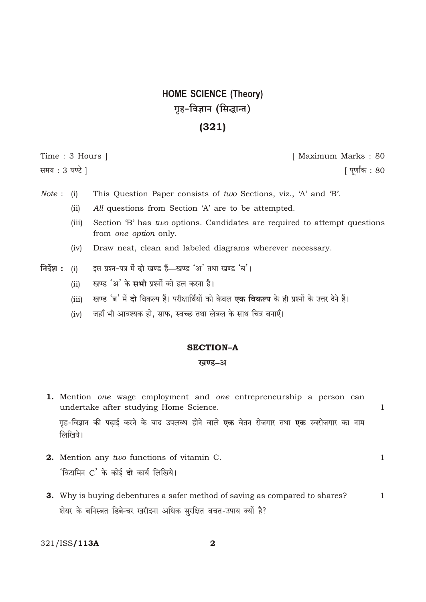## **HOME SCIENCE (Theory)** गृह-विज्ञान (सिद्धान्त)

### $(321)$

Time: 3 Hours | समय: 3 घण्टे ।

[ Maximum Marks: 80 <u> ।</u> पर्णांक : 80

 $\mathbf{1}$ 

- This Question Paper consists of two Sections, viz., 'A' and 'B'.  $Note: (i)$ 
	- All questions from Section 'A' are to be attempted.  $(ii)$
	- $(iii)$ Section 'B' has two options. Candidates are required to attempt questions from one option only.
	- Draw neat, clean and labeled diagrams wherever necessary.  $(iv)$
- निर्देश $:$  (i) इस प्रश्न-पत्र में दो खण्ड हैं—खण्ड 'अ' तथा खण्ड 'ब'।
	- खण्ड 'अ' के सभी प्रश्नों को हल करना है।  $(ii)$
	- खण्ड 'ब' में दो विकल्प हैं। परीक्षार्थियों को केवल एक विकल्प के ही प्रश्नों के उत्तर देने हैं।  $(iii)$
	- जहाँ भी आवश्यक हो. साफ. स्वच्छ तथा लेबल के साथ चित्र बनाएँ।  $(iv)$

### **SECTION-A**

### खण्ड-अ

1. Mention one wage employment and one entrepreneurship a person can undertake after studying Home Science.

गृह-विज्ञान की पढाई करने के बाद उपलब्ध होने वाले **एक** वेतन रोजगार तथा **एक** स्वरोजगार का नाम लिखिये।

- 2. Mention any two functions of vitamin C.  $\mathbf{1}$ 'विटामिन C' के कोई दो कार्य लिखिये।
- 3. Why is buying debentures a safer method of saving as compared to shares?  $\mathbf{1}$ शेयर के बनिस्बत डिबेन्चर खरीदना अधिक सुरक्षित बचत-उपाय क्यों है?

321/ISS/113A

 $\overline{\mathbf{2}}$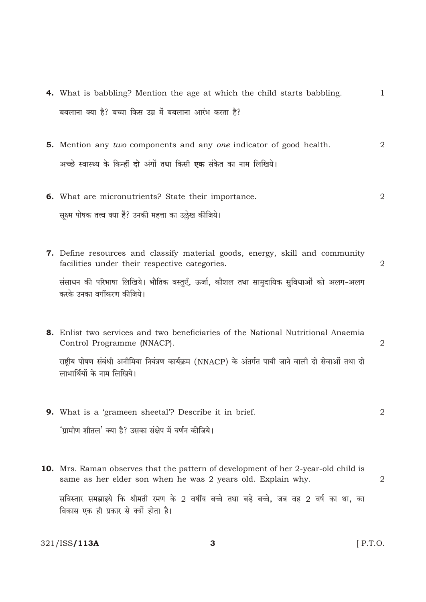- 4. What is babbling? Mention the age at which the child starts babbling.  $\mathbf{1}$ बबलाना क्या है? बच्चा किस उम्र में बबलाना आरंभ करता है?
- **5.** Mention any two components and any one indicator of good health.  $\overline{2}$ अच्छे स्वास्थ्य के किन्हीं दो अंगों तथा किसी एक संकेत का नाम लिखिये।
- $\overline{2}$ 6. What are micronutrients? State their importance. सूक्ष्म पोषक तत्त्व क्या हैं? उनकी महत्ता का उल्लेख कीजिये।
- 7. Define resources and classify material goods, energy, skill and community facilities under their respective categories.  $\overline{2}$ संसाधन की परिभाषा लिखिये। भौतिक वस्तुएँ, ऊर्जा, कौशल तथा सामुदायिक सुविधाओं को अलग-अलग करके उनका वर्गीकरण कीजिये।
- 8. Enlist two services and two beneficiaries of the National Nutritional Anaemia Control Programme (NNACP).

राष्टीय पोषण संबंधी अनीमिया नियंत्रण कार्यक्रम (NNACP) के अंतर्गत पायी जाने वाली दो सेवाओं तथा दो लाभार्थियों के नाम लिखिये।

- 9. What is a 'grameen sheetal'? Describe it in brief.  $\mathcal{L}$ 'ग्रामीण शीतल' क्या है? उसका संक्षेप में वर्णन कीजिये।
- 10. Mrs. Raman observes that the pattern of development of her 2-year-old child is same as her elder son when he was 2 years old. Explain why.  $\overline{2}$ सविस्तार समझाइये कि श्रीमती रमण के 2 वर्षीय बच्चे तथा बडे बच्चे, जब वह 2 वर्ष का था, का विकास एक ही प्रकार से क्यों होता है।

321/ISS/113A

 $[$  P.T.O.

 $\overline{2}$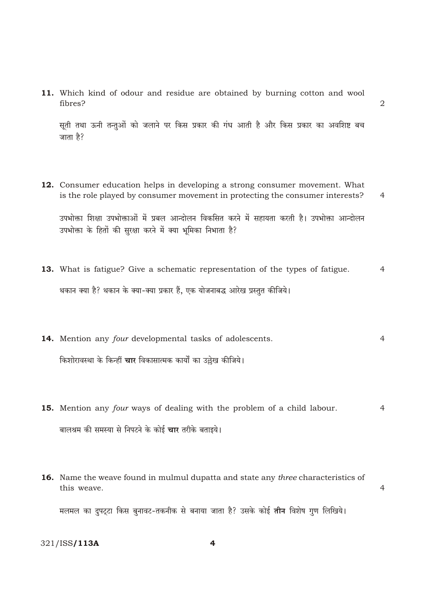11. Which kind of odour and residue are obtained by burning cotton and wool fibres?

सूती तथा ऊनी तन्तुओं को जलाने पर किस प्रकार की गंध आती है और किस प्रकार का अवशिष्ट बच जाता है?

 $\overline{2}$ 

- 12. Consumer education helps in developing a strong consumer movement. What is the role played by consumer movement in protecting the consumer interests?  $\overline{4}$ उपभोक्ता शिक्षा उपभोक्ताओं में प्रबल आन्दोलन विकसित करने में सहायता करती है। उपभोक्ता आन्दोलन उपभोक्ता के हितों की सुरक्षा करने में क्या भूमिका निभाता है?
- 13. What is fatigue? Give a schematic representation of the types of fatigue.  $\overline{4}$ थकान क्या है? थकान के क्या-क्या प्रकार हैं, एक योजनाबद्ध आरेख प्रस्तुत कीजिये।
- 14. Mention any four developmental tasks of adolescents.  $\overline{4}$ किशोरावस्था के किन्हीं **चार** विकासात्मक कार्यों का उल्लेख कीजिये।
- 15. Mention any four ways of dealing with the problem of a child labour.  $\overline{4}$ बालश्रम की समस्या से निपटने के कोई **चार** तरीके बताइये।
- 16. Name the weave found in mulmul dupatta and state any three characteristics of this weave.  $\overline{4}$ मलमल का दुपट्टा किस बुनावट-तकनीक से बनाया जाता है? उसके कोई **तीन** विशेष गुण लिखिये।

321/ISS/113A

4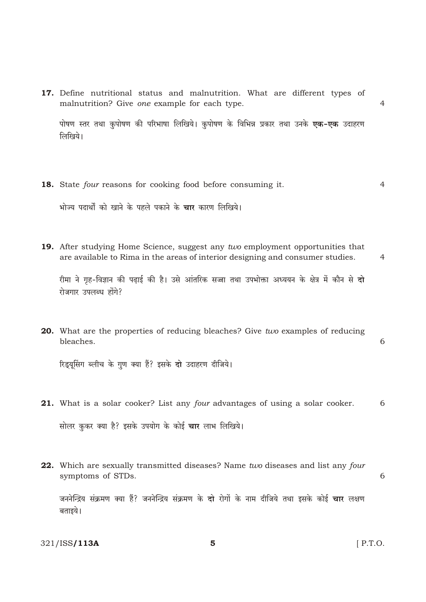17. Define nutritional status and malnutrition. What are different types of malnutrition? Give one example for each type.

पोषण स्तर तथा कुपोषण की परिभाषा लिखिये। कुपोषण के विभिन्न प्रकार तथा उनके **एक-एक** उदाहरण लिखिये।

18. State four reasons for cooking food before consuming it.  $\overline{4}$ 

भोज्य पदार्थों को खाने के पहले पकाने के **चार** कारण लिखिये।

19. After studying Home Science, suggest any two employment opportunities that are available to Rima in the areas of interior designing and consumer studies.

 $\overline{4}$ 

6

 $\overline{4}$ 

रीमा ने गृह-विज्ञान की पढाई की है। उसे आंतरिक सज्जा तथा उपभोक्ता अध्ययन के क्षेत्र में कौन से **दो** रोजगार उपलब्ध होंगे?

20. What are the properties of reducing bleaches? Give two examples of reducing bleaches.

रिडयसिंग ब्लीच के गण क्या हैं? इसके दो उदाहरण दीजिये।

- 21. What is a solar cooker? List any four advantages of using a solar cooker. 6 सोलर कुकर क्या है? इसके उपयोग के कोई **चार** लाभ लिखिये।
- 22. Which are sexually transmitted diseases? Name two diseases and list any four symptoms of STDs. 6

जननेन्द्रिय संक्रमण क्या हैं? जननेन्द्रिय संक्रमण के **दो** रोगों के नाम दीजिये तथा इसके कोई **चार** लक्षण बताइये।

321/ISS/113A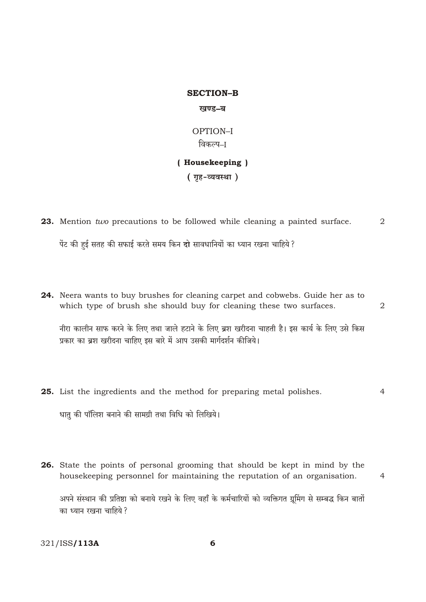# **SECTION-B** खण्ड-ब

OPTION-I विकल्प–ा

### (Housekeeping)

(गृह-व्यवस्था)

23. Mention two precautions to be followed while cleaning a painted surface.  $\overline{2}$ 

पेंट की हुई सतह की सफाई करते समय किन दो सावधानियों का ध्यान रखना चाहिये ?

24. Neera wants to buy brushes for cleaning carpet and cobwebs. Guide her as to which type of brush she should buy for cleaning these two surfaces.

नीरा कालीन साफ करने के लिए तथा जाले हटाने के लिए ब्रश खरीदना चाहती है। इस कार्य के लिए उसे किस प्रकार का बश खरीदना चाहिए इस बारे में आप उसकी मार्गदर्शन कीजिये।

 $\overline{2}$ 

25. List the ingredients and the method for preparing metal polishes.  $\overline{4}$ 

धातु की पॉलिश बनाने की सामग्री तथा विधि को लिखिये।

26. State the points of personal grooming that should be kept in mind by the housekeeping personnel for maintaining the reputation of an organisation.  $\overline{4}$ अपने संस्थान की प्रतिष्ठा को बनाये रखने के लिए वहाँ के कर्मचारियों को व्यक्तिगत ग्रुमिंग से सम्बद्ध किन बातों का ध्यान रखना चाहिये ?